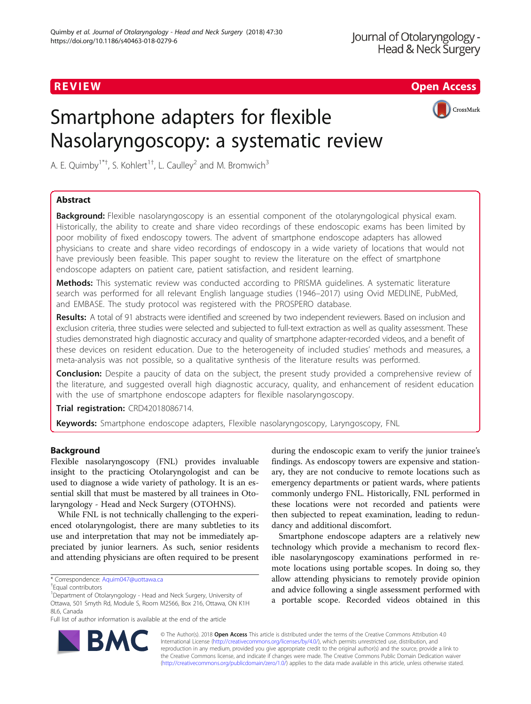# R EVI EW Open Access



# Smartphone adapters for flexible Nasolaryngoscopy: a systematic review

A. E. Quimby<sup>1\*†</sup>, S. Kohlert<sup>1†</sup>, L. Caulley<sup>2</sup> and M. Bromwich<sup>3</sup>

# Abstract

**Background:** Flexible nasolaryngoscopy is an essential component of the otolaryngological physical exam. Historically, the ability to create and share video recordings of these endoscopic exams has been limited by poor mobility of fixed endoscopy towers. The advent of smartphone endoscope adapters has allowed physicians to create and share video recordings of endoscopy in a wide variety of locations that would not have previously been feasible. This paper sought to review the literature on the effect of smartphone endoscope adapters on patient care, patient satisfaction, and resident learning.

Methods: This systematic review was conducted according to PRISMA guidelines. A systematic literature search was performed for all relevant English language studies (1946–2017) using Ovid MEDLINE, PubMed, and EMBASE. The study protocol was registered with the PROSPERO database.

Results: A total of 91 abstracts were identified and screened by two independent reviewers. Based on inclusion and exclusion criteria, three studies were selected and subjected to full-text extraction as well as quality assessment. These studies demonstrated high diagnostic accuracy and quality of smartphone adapter-recorded videos, and a benefit of these devices on resident education. Due to the heterogeneity of included studies' methods and measures, a meta-analysis was not possible, so a qualitative synthesis of the literature results was performed.

**Conclusion:** Despite a paucity of data on the subject, the present study provided a comprehensive review of the literature, and suggested overall high diagnostic accuracy, quality, and enhancement of resident education with the use of smartphone endoscope adapters for flexible nasolaryngoscopy.

Trial registration: CRD42018086714.

Keywords: Smartphone endoscope adapters, Flexible nasolaryngoscopy, Laryngoscopy, FNL

# Background

Flexible nasolaryngoscopy (FNL) provides invaluable insight to the practicing Otolaryngologist and can be used to diagnose a wide variety of pathology. It is an essential skill that must be mastered by all trainees in Otolaryngology - Head and Neck Surgery (OTOHNS).

While FNL is not technically challenging to the experienced otolaryngologist, there are many subtleties to its use and interpretation that may not be immediately appreciated by junior learners. As such, senior residents and attending physicians are often required to be present

Full list of author information is available at the end of the article

during the endoscopic exam to verify the junior trainee's findings. As endoscopy towers are expensive and stationary, they are not conducive to remote locations such as emergency departments or patient wards, where patients commonly undergo FNL. Historically, FNL performed in these locations were not recorded and patients were then subjected to repeat examination, leading to redundancy and additional discomfort.

Smartphone endoscope adapters are a relatively new technology which provide a mechanism to record flexible nasolaryngoscopy examinations performed in remote locations using portable scopes. In doing so, they allow attending physicians to remotely provide opinion and advice following a single assessment performed with a portable scope. Recorded videos obtained in this



© The Author(s). 2018 Open Access This article is distributed under the terms of the Creative Commons Attribution 4.0 International License [\(http://creativecommons.org/licenses/by/4.0/](http://creativecommons.org/licenses/by/4.0/)), which permits unrestricted use, distribution, and reproduction in any medium, provided you give appropriate credit to the original author(s) and the source, provide a link to the Creative Commons license, and indicate if changes were made. The Creative Commons Public Domain Dedication waiver [\(http://creativecommons.org/publicdomain/zero/1.0/](http://creativecommons.org/publicdomain/zero/1.0/)) applies to the data made available in this article, unless otherwise stated.

<sup>\*</sup> Correspondence: [Aquim047@uottawa.ca](mailto:Aquim047@uottawa.ca) †

Equal contributors

<sup>&</sup>lt;sup>1</sup> Department of Otolaryngology - Head and Neck Surgery, University of Ottawa, 501 Smyth Rd, Module S, Room M2566, Box 216, Ottawa, ON K1H 8L6, Canada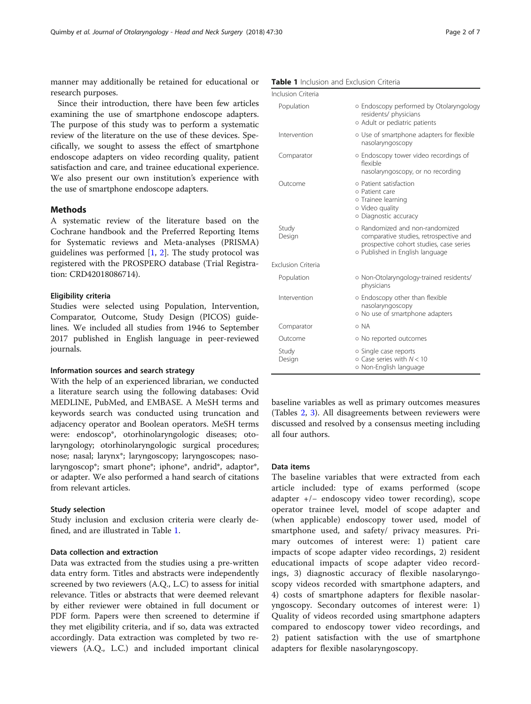manner may additionally be retained for educational or research purposes.

Since their introduction, there have been few articles examining the use of smartphone endoscope adapters. The purpose of this study was to perform a systematic review of the literature on the use of these devices. Specifically, we sought to assess the effect of smartphone endoscope adapters on video recording quality, patient satisfaction and care, and trainee educational experience. We also present our own institution's experience with the use of smartphone endoscope adapters.

#### Methods

A systematic review of the literature based on the Cochrane handbook and the Preferred Reporting Items for Systematic reviews and Meta-analyses (PRISMA) guidelines was performed  $[1, 2]$  $[1, 2]$  $[1, 2]$  $[1, 2]$  $[1, 2]$ . The study protocol was registered with the PROSPERO database (Trial Registration: CRD42018086714).

### Eligibility criteria

Studies were selected using Population, Intervention, Comparator, Outcome, Study Design (PICOS) guidelines. We included all studies from 1946 to September 2017 published in English language in peer-reviewed journals.

#### Information sources and search strategy

With the help of an experienced librarian, we conducted a literature search using the following databases: Ovid MEDLINE, PubMed, and EMBASE. A MeSH terms and keywords search was conducted using truncation and adjacency operator and Boolean operators. MeSH terms were: endoscop\*, otorhinolaryngologic diseases; otolaryngology; otorhinolaryngologic surgical procedures; nose; nasal; larynx\*; laryngoscopy; laryngoscopes; nasolaryngoscop\*; smart phone\*; iphone\*, andrid\*, adaptor\*, or adapter. We also performed a hand search of citations from relevant articles.

#### Study selection

Study inclusion and exclusion criteria were clearly defined, and are illustrated in Table 1.

### Data collection and extraction

Data was extracted from the studies using a pre-written data entry form. Titles and abstracts were independently screened by two reviewers (A.Q., L.C) to assess for initial relevance. Titles or abstracts that were deemed relevant by either reviewer were obtained in full document or PDF form. Papers were then screened to determine if they met eligibility criteria, and if so, data was extracted accordingly. Data extraction was completed by two reviewers (A.Q., L.C.) and included important clinical

| <b>Table 1</b> Inclusion and Exclusion Criteria |  |
|-------------------------------------------------|--|
|-------------------------------------------------|--|

| Inclusion Criteria        |                                                                                                                                                         |
|---------------------------|---------------------------------------------------------------------------------------------------------------------------------------------------------|
| Population                | o Endoscopy performed by Otolaryngology<br>residents/ physicians<br>o Adult or pediatric patients                                                       |
| Intervention              | o Use of smartphone adapters for flexible<br>nasolaryngoscopy                                                                                           |
| Comparator                | o Endoscopy tower video recordings of<br>flexible<br>nasolaryngoscopy, or no recording                                                                  |
| Outcome                   | o Patient satisfaction<br>o Patient care<br>o Trainee learning<br>o Video quality<br>o Diagnostic accuracy                                              |
| Study<br>Design           | o Randomized and non-randomized<br>comparative studies, retrospective and<br>prospective cohort studies, case series<br>o Published in English language |
| <b>Exclusion Criteria</b> |                                                                                                                                                         |
| Population                | o Non-Otolaryngology-trained residents/<br>physicians                                                                                                   |
| Intervention              | o Endoscopy other than flexible<br>nasolaryngoscopy<br>o No use of smartphone adapters                                                                  |
| Comparator                | o NA                                                                                                                                                    |
| Outcome                   | o No reported outcomes                                                                                                                                  |
| Study<br>Design           | o Single case reports<br>$\circ$ Case series with $N < 10$<br>o Non-English language                                                                    |

baseline variables as well as primary outcomes measures (Tables [2](#page-2-0), [3](#page-2-0)). All disagreements between reviewers were discussed and resolved by a consensus meeting including all four authors.

#### Data items

The baseline variables that were extracted from each article included: type of exams performed (scope adapter +/− endoscopy video tower recording), scope operator trainee level, model of scope adapter and (when applicable) endoscopy tower used, model of smartphone used, and safety/ privacy measures. Primary outcomes of interest were: 1) patient care impacts of scope adapter video recordings, 2) resident educational impacts of scope adapter video recordings, 3) diagnostic accuracy of flexible nasolaryngoscopy videos recorded with smartphone adapters, and 4) costs of smartphone adapters for flexible nasolaryngoscopy. Secondary outcomes of interest were: 1) Quality of videos recorded using smartphone adapters compared to endoscopy tower video recordings, and 2) patient satisfaction with the use of smartphone adapters for flexible nasolaryngoscopy.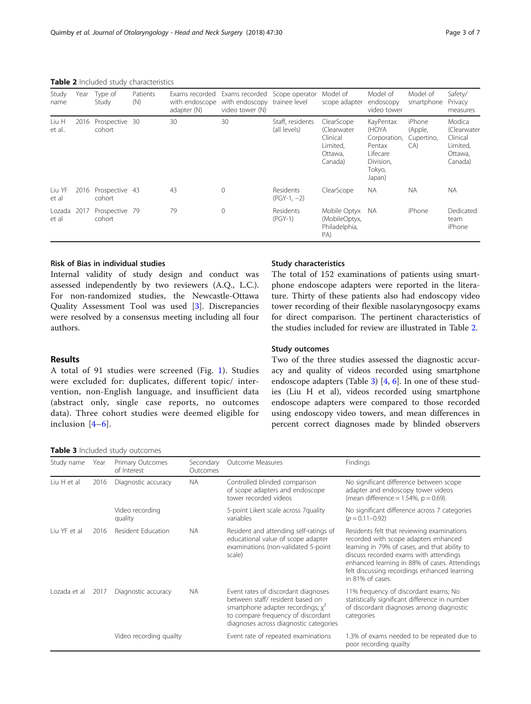<span id="page-2-0"></span>Table 2 Included study characteristics

| Study<br>name   | Year | Type of<br>Study         | Patients<br>(N) | Exams recorded<br>with endoscope<br>adapter (N) | Exams recorded<br>with endoscopy<br>video tower (N) | Scope operator<br>trainee level  | Model of<br>scope adapter                                               | Model of<br>endoscopy<br>video tower                                                      | Model of<br>smartphone                 | Safety/<br>Privacy<br>measures                                      |
|-----------------|------|--------------------------|-----------------|-------------------------------------------------|-----------------------------------------------------|----------------------------------|-------------------------------------------------------------------------|-------------------------------------------------------------------------------------------|----------------------------------------|---------------------------------------------------------------------|
| Liu H<br>et al  | 2016 | Prospective 30<br>cohort |                 | 30                                              | 30                                                  | Staff, residents<br>(all levels) | ClearScope<br>(Clearwater<br>Clinical<br>Limited.<br>Ottawa.<br>Canada) | KayPentax<br>(HOYA<br>Corporation,<br>Pentax<br>Lifecare<br>Division,<br>Tokyo,<br>Japan) | iPhone<br>(Apple,<br>Cupertino,<br>CA) | Modica<br>(Clearwater<br>Clinical<br>Limited,<br>Ottawa.<br>Canada) |
| Liu YF<br>et al | 2016 | Prospective 43<br>cohort |                 | 43                                              | $\mathbf{0}$                                        | Residents<br>$(PGY-1, -2)$       | ClearScope                                                              | NA.                                                                                       | <b>NA</b>                              | <b>NA</b>                                                           |
| Lozada<br>et al | 2017 | Prospective<br>cohort    | -79             | 79                                              | $\mathbf 0$                                         | Residents<br>$(PGY-1)$           | Mobile Optyx<br>(MobileOptyx,<br>Philadelphia,<br>PA)                   | <b>NA</b>                                                                                 | iPhone                                 | Dedicated<br>team<br>iPhone                                         |

## Risk of Bias in individual studies

Internal validity of study design and conduct was assessed independently by two reviewers (A.Q., L.C.). For non-randomized studies, the Newcastle-Ottawa Quality Assessment Tool was used [[3\]](#page-5-0). Discrepancies were resolved by a consensus meeting including all four authors.

### Study characteristics

The total of 152 examinations of patients using smartphone endoscope adapters were reported in the literature. Thirty of these patients also had endoscopy video tower recording of their flexible nasolaryngosocpy exams for direct comparison. The pertinent characteristics of the studies included for review are illustrated in Table 2.

### Results

A total of 91 studies were screened (Fig. [1\)](#page-3-0). Studies were excluded for: duplicates, different topic/ intervention, non-English language, and insufficient data (abstract only, single case reports, no outcomes data). Three cohort studies were deemed eligible for inclusion [[4](#page-5-0)–[6](#page-6-0)].

#### Study outcomes

Two of the three studies assessed the diagnostic accuracy and quality of videos recorded using smartphone endoscope adapters (Table 3) [\[4](#page-5-0), [6](#page-6-0)]. In one of these studies (Liu H et al), videos recorded using smartphone endoscope adapters were compared to those recorded using endoscopy video towers, and mean differences in percent correct diagnoses made by blinded observers

Table 3 Included study outcomes

| Study name   | Year | Primary Outcomes<br>of Interest | Secondary<br>Outcomes | Outcome Measures                                                                                                                                                                               | Findings                                                                                                                                                                                                                                                                                            |  |
|--------------|------|---------------------------------|-----------------------|------------------------------------------------------------------------------------------------------------------------------------------------------------------------------------------------|-----------------------------------------------------------------------------------------------------------------------------------------------------------------------------------------------------------------------------------------------------------------------------------------------------|--|
| Liu H et al  | 2016 | Diagnostic accuracy             | <b>NA</b>             | Controlled blinded comparison<br>of scope adapters and endoscope<br>tower recorded videos                                                                                                      | No significant difference between scope<br>adapter and endoscopy tower videos<br>(mean difference = $1.54\%$ , p = 0.69).                                                                                                                                                                           |  |
|              |      | Video recording<br>quality      |                       | 5-point Likert scale across 7quality<br>variables                                                                                                                                              | No significant difference across 7 categories<br>$(p = 0.11 - 0.92)$                                                                                                                                                                                                                                |  |
| Liu YF et al | 2016 | Resident Education              | <b>NA</b>             | Resident and attending self-ratings of<br>educational value of scope adapter<br>examinations (non-validated 5-point<br>scale)                                                                  | Residents felt that reviewing examinations<br>recorded with scope adapters enhanced<br>learning in 79% of cases, and that ability to<br>discuss recorded exams with attendings<br>enhanced learning in 88% of cases. Attendings<br>felt discussing recordings enhanced learning<br>in 81% of cases. |  |
| Lozada et al | 2017 | Diagnostic accuracy             | NA.                   | Event rates of discordant diagnoses<br>between staff/resident based on<br>smartphone adapter recordings; $x^2$<br>to compare frequency of discordant<br>diagnoses across diagnostic categories | 11% frequency of discordant exams; No<br>statistically significant difference in number<br>of discordant diagnoses among diagnostic<br>categories                                                                                                                                                   |  |
|              |      | Video recording quailty         |                       | Event rate of repeated examinations                                                                                                                                                            | 1.3% of exams needed to be repeated due to<br>poor recording quailty                                                                                                                                                                                                                                |  |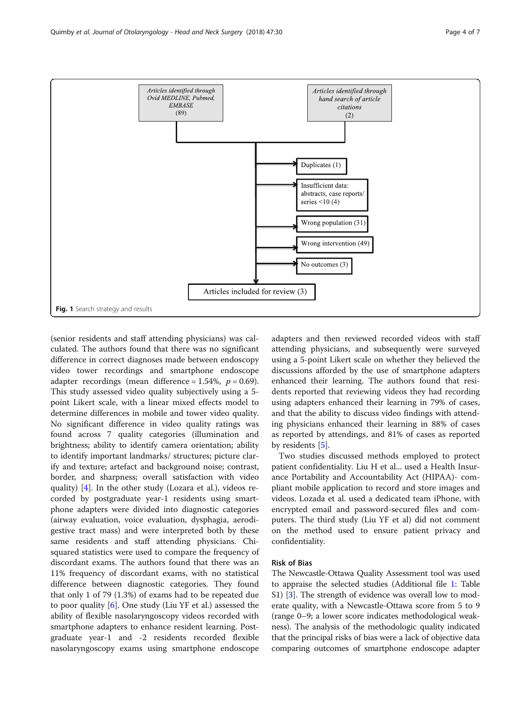<span id="page-3-0"></span>

(senior residents and staff attending physicians) was calculated. The authors found that there was no significant difference in correct diagnoses made between endoscopy video tower recordings and smartphone endoscope adapter recordings (mean difference =  $1.54\%$ ,  $p = 0.69$ ). This study assessed video quality subjectively using a 5 point Likert scale, with a linear mixed effects model to determine differences in mobile and tower video quality. No significant difference in video quality ratings was found across 7 quality categories (illumination and brightness; ability to identify camera orientation; ability to identify important landmarks/ structures; picture clarify and texture; artefact and background noise; contrast, border, and sharpness; overall satisfaction with video quality) [\[4](#page-5-0)]. In the other study (Lozara et al.), videos recorded by postgraduate year-1 residents using smartphone adapters were divided into diagnostic categories (airway evaluation, voice evaluation, dysphagia, aerodigestive tract mass) and were interpreted both by these same residents and staff attending physicians. Chisquared statistics were used to compare the frequency of discordant exams. The authors found that there was an 11% frequency of discordant exams, with no statistical difference between diagnostic categories. They found that only 1 of 79 (1.3%) of exams had to be repeated due to poor quality [[6\]](#page-6-0). One study (Liu YF et al.) assessed the ability of flexible nasolaryngoscopy videos recorded with smartphone adapters to enhance resident learning. Postgraduate year-1 and -2 residents recorded flexible nasolaryngoscopy exams using smartphone endoscope adapters and then reviewed recorded videos with staff attending physicians, and subsequently were surveyed using a 5-point Likert scale on whether they believed the discussions afforded by the use of smartphone adapters enhanced their learning. The authors found that residents reported that reviewing videos they had recording using adapters enhanced their learning in 79% of cases, and that the ability to discuss video findings with attending physicians enhanced their learning in 88% of cases as reported by attendings, and 81% of cases as reported by residents [[5\]](#page-5-0).

Two studies discussed methods employed to protect patient confidentiality. Liu H et al... used a Health Insurance Portability and Accountability Act (HIPAA)- compliant mobile application to record and store images and videos. Lozada et al. used a dedicated team iPhone, with encrypted email and password-secured files and computers. The third study (Liu YF et al) did not comment on the method used to ensure patient privacy and confidentiality.

#### Risk of Bias

The Newcastle-Ottawa Quality Assessment tool was used to appraise the selected studies (Additional file [1](#page-5-0): Table S1) [[3\]](#page-5-0). The strength of evidence was overall low to moderate quality, with a Newcastle-Ottawa score from 5 to 9 (range 0–9; a lower score indicates methodological weakness). The analysis of the methodologic quality indicated that the principal risks of bias were a lack of objective data comparing outcomes of smartphone endoscope adapter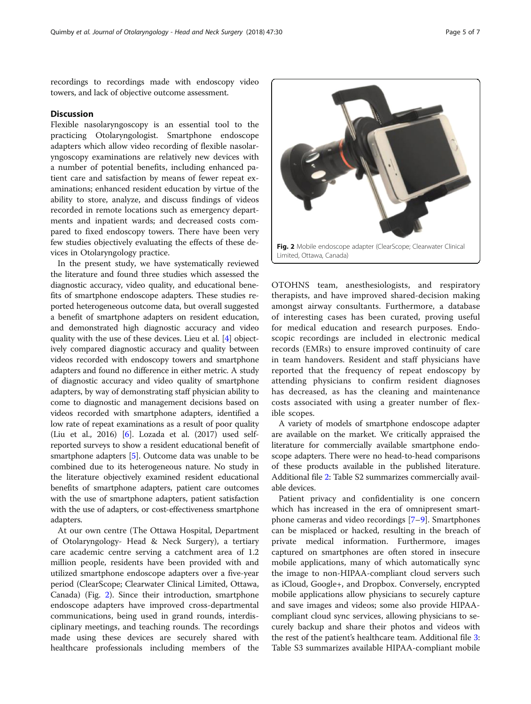recordings to recordings made with endoscopy video towers, and lack of objective outcome assessment.

#### **Discussion**

Flexible nasolaryngoscopy is an essential tool to the practicing Otolaryngologist. Smartphone endoscope adapters which allow video recording of flexible nasolaryngoscopy examinations are relatively new devices with a number of potential benefits, including enhanced patient care and satisfaction by means of fewer repeat examinations; enhanced resident education by virtue of the ability to store, analyze, and discuss findings of videos recorded in remote locations such as emergency departments and inpatient wards; and decreased costs compared to fixed endoscopy towers. There have been very few studies objectively evaluating the effects of these devices in Otolaryngology practice.

In the present study, we have systematically reviewed the literature and found three studies which assessed the diagnostic accuracy, video quality, and educational benefits of smartphone endoscope adapters. These studies reported heterogeneous outcome data, but overall suggested a benefit of smartphone adapters on resident education, and demonstrated high diagnostic accuracy and video quality with the use of these devices. Lieu et al. [\[4\]](#page-5-0) objectively compared diagnostic accuracy and quality between videos recorded with endoscopy towers and smartphone adapters and found no difference in either metric. A study of diagnostic accuracy and video quality of smartphone adapters, by way of demonstrating staff physician ability to come to diagnostic and management decisions based on videos recorded with smartphone adapters, identified a low rate of repeat examinations as a result of poor quality (Liu et al., 2016) [\[6\]](#page-6-0). Lozada et al. (2017) used selfreported surveys to show a resident educational benefit of smartphone adapters [[5](#page-5-0)]. Outcome data was unable to be combined due to its heterogeneous nature. No study in the literature objectively examined resident educational benefits of smartphone adapters, patient care outcomes with the use of smartphone adapters, patient satisfaction with the use of adapters, or cost-effectiveness smartphone adapters.

At our own centre (The Ottawa Hospital, Department of Otolaryngology- Head & Neck Surgery), a tertiary care academic centre serving a catchment area of 1.2 million people, residents have been provided with and utilized smartphone endoscope adapters over a five-year period (ClearScope; Clearwater Clinical Limited, Ottawa, Canada) (Fig. 2). Since their introduction, smartphone endoscope adapters have improved cross-departmental communications, being used in grand rounds, interdisciplinary meetings, and teaching rounds. The recordings made using these devices are securely shared with healthcare professionals including members of the



OTOHNS team, anesthesiologists, and respiratory therapists, and have improved shared-decision making amongst airway consultants. Furthermore, a database of interesting cases has been curated, proving useful for medical education and research purposes. Endoscopic recordings are included in electronic medical records (EMRs) to ensure improved continuity of care in team handovers. Resident and staff physicians have reported that the frequency of repeat endoscopy by attending physicians to confirm resident diagnoses has decreased, as has the cleaning and maintenance costs associated with using a greater number of flexible scopes.

A variety of models of smartphone endoscope adapter are available on the market. We critically appraised the literature for commercially available smartphone endoscope adapters. There were no head-to-head comparisons of these products available in the published literature. Additional file [2](#page-5-0): Table S2 summarizes commercially available devices.

Patient privacy and confidentiality is one concern which has increased in the era of omnipresent smartphone cameras and video recordings [[7](#page-6-0)–[9\]](#page-6-0). Smartphones can be misplaced or hacked, resulting in the breach of private medical information. Furthermore, images captured on smartphones are often stored in insecure mobile applications, many of which automatically sync the image to non-HIPAA-compliant cloud servers such as iCloud, Google+, and Dropbox. Conversely, encrypted mobile applications allow physicians to securely capture and save images and videos; some also provide HIPAAcompliant cloud sync services, allowing physicians to securely backup and share their photos and videos with the rest of the patient's healthcare team. Additional file [3](#page-5-0): Table S3 summarizes available HIPAA-compliant mobile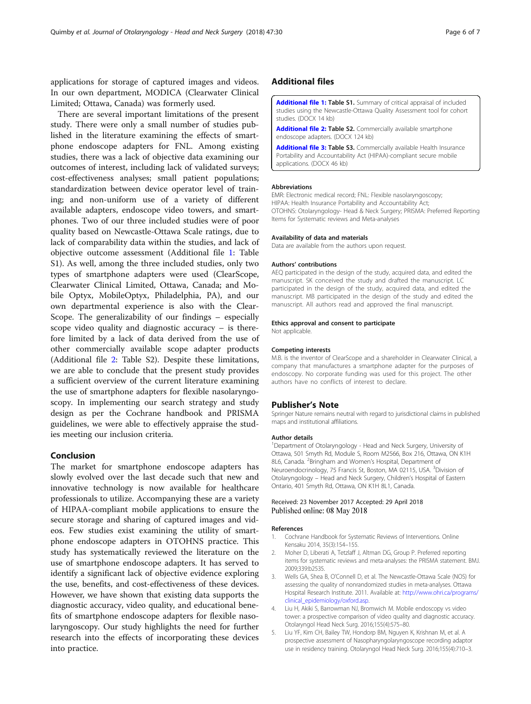<span id="page-5-0"></span>applications for storage of captured images and videos. In our own department, MODICA (Clearwater Clinical Limited; Ottawa, Canada) was formerly used.

There are several important limitations of the present study. There were only a small number of studies published in the literature examining the effects of smartphone endoscope adapters for FNL. Among existing studies, there was a lack of objective data examining our outcomes of interest, including lack of validated surveys; cost-effectiveness analyses; small patient populations; standardization between device operator level of training; and non-uniform use of a variety of different available adapters, endoscope video towers, and smartphones. Two of our three included studies were of poor quality based on Newcastle-Ottawa Scale ratings, due to lack of comparability data within the studies, and lack of objective outcome assessment (Additional file 1: Table S1). As well, among the three included studies, only two types of smartphone adapters were used (ClearScope, Clearwater Clinical Limited, Ottawa, Canada; and Mobile Optyx, MobileOptyx, Philadelphia, PA), and our own departmental experience is also with the Clear-Scope. The generalizability of our findings – especially scope video quality and diagnostic accuracy – is therefore limited by a lack of data derived from the use of other commercially available scope adapter products (Additional file 2: Table S2). Despite these limitations, we are able to conclude that the present study provides a sufficient overview of the current literature examining the use of smartphone adapters for flexible nasolaryngoscopy. In implementing our search strategy and study design as per the Cochrane handbook and PRISMA guidelines, we were able to effectively appraise the studies meeting our inclusion criteria.

#### Conclusion

The market for smartphone endoscope adapters has slowly evolved over the last decade such that new and innovative technology is now available for healthcare professionals to utilize. Accompanying these are a variety of HIPAA-compliant mobile applications to ensure the secure storage and sharing of captured images and videos. Few studies exist examining the utility of smartphone endoscope adapters in OTOHNS practice. This study has systematically reviewed the literature on the use of smartphone endoscope adapters. It has served to identify a significant lack of objective evidence exploring the use, benefits, and cost-effectiveness of these devices. However, we have shown that existing data supports the diagnostic accuracy, video quality, and educational benefits of smartphone endoscope adapters for flexible nasolaryngoscopy. Our study highlights the need for further research into the effects of incorporating these devices into practice.

#### Additional files

[Additional file 1:](https://doi.org/10.1186/s40463-018-0279-6) Table S1. Summary of critical appraisal of included studies using the Newcastle-Ottawa Quality Assessment tool for cohort studies. (DOCX 14 kb)

[Additional file 2:](https://doi.org/10.1186/s40463-018-0279-6) Table S2. Commercially available smartphone endoscope adapters. (DOCX 124 kb)

[Additional file 3:](https://doi.org/10.1186/s40463-018-0279-6) Table S3. Commercially available Health Insurance Portability and Accountability Act (HIPAA)-compliant secure mobile applications. (DOCX 46 kb)

#### Abbreviations

EMR: Electronic medical record; FNL: Flexible nasolaryngoscopy; HIPAA: Health Insurance Portability and Accountability Act; OTOHNS: Otolaryngology- Head & Neck Surgery; PRISMA: Preferred Reporting Items for Systematic reviews and Meta-analyses

#### Availability of data and materials

Data are available from the authors upon request.

#### Authors' contributions

AEQ participated in the design of the study, acquired data, and edited the manuscript. SK conceived the study and drafted the manuscript. LC participated in the design of the study, acquired data, and edited the manuscript. MB participated in the design of the study and edited the manuscript. All authors read and approved the final manuscript.

#### Ethics approval and consent to participate

Not applicable.

#### Competing interests

M.B. is the inventor of ClearScope and a shareholder in Clearwater Clinical, a company that manufactures a smartphone adapter for the purposes of endoscopy. No corporate funding was used for this project. The other authors have no conflicts of interest to declare.

#### Publisher's Note

Springer Nature remains neutral with regard to jurisdictional claims in published maps and institutional affiliations.

#### Author details

<sup>1</sup>Department of Otolaryngology - Head and Neck Surgery, University of Ottawa, 501 Smyth Rd, Module S, Room M2566, Box 216, Ottawa, ON K1H 8L6, Canada. <sup>2</sup>Bringham and Women's Hospital, Department of Neuroendocrinology, 75 Francis St, Boston, MA 02115, USA. <sup>3</sup>Division of Otolaryngology – Head and Neck Surgery, Children's Hospital of Eastern Ontario, 401 Smyth Rd, Ottawa, ON K1H 8L1, Canada.

#### Received: 23 November 2017 Accepted: 29 April 2018 Published online: 08 May 2018

#### References

- 1. Cochrane Handbook for Systematic Reviews of Interventions. Online Kensaku 2014, 35(3):154–155.
- 2. Moher D, Liberati A, Tetzlaff J, Altman DG, Group P. Preferred reporting items for systematic reviews and meta-analyses: the PRISMA statement. BMJ. 2009;339:b2535.
- 3. Wells GA, Shea B, O'Connell D, et al. The Newcastle-Ottawa Scale (NOS) for assessing the quality of nonrandomized studies in meta-analyses. Ottawa Hospital Research Institute. 2011. Available at: [http://www.ohri.ca/programs/](http://www.ohri.ca/programs/clinical_epidemiology/oxford.asp) [clinical\\_epidemiology/oxford.asp](http://www.ohri.ca/programs/clinical_epidemiology/oxford.asp).
- 4. Liu H, Akiki S, Barrowman NJ, Bromwich M. Mobile endoscopy vs video tower: a prospective comparison of video quality and diagnostic accuracy. Otolaryngol Head Neck Surg. 2016;155(4):575–80.
- 5. Liu YF, Kim CH, Bailey TW, Hondorp BM, Nguyen K, Krishnan M, et al. A prospective assessment of Nasopharyngolaryngoscope recording adaptor use in residency training. Otolaryngol Head Neck Surg. 2016;155(4):710–3.